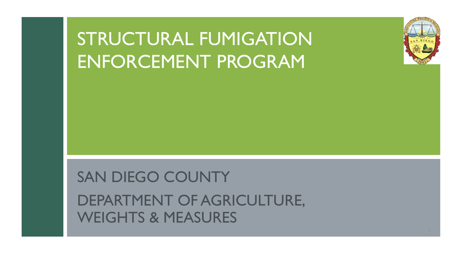# STRUCTURAL FUMIGATION ENFORCEMENT PROGRAM



## SAN DIEGO COUNTY

DEPARTMENT OF AGRICULTURE, WEIGHTS & MEASURES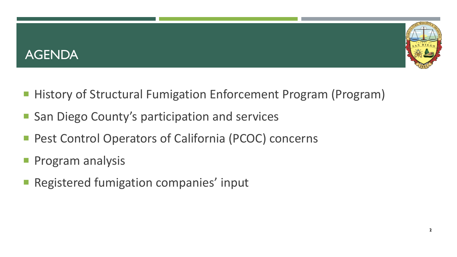



- History of Structural Fumigation Enforcement Program (Program)
- San Diego County's participation and services
- Pest Control Operators of California (PCOC) concerns
- Program analysis
- Registered fumigation companies' input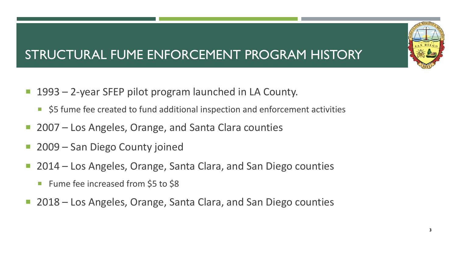## STRUCTURAL FUME ENFORCEMENT PROGRAM HISTORY

- 1993 2-year SFEP pilot program launched in LA County.
	- \$5 fume fee created to fund additional inspection and enforcement activities
- 2007 Los Angeles, Orange, and Santa Clara counties
- 2009 San Diego County joined
- 2014 Los Angeles, Orange, Santa Clara, and San Diego counties
	- Fume fee increased from \$5 to \$8
- 2018 Los Angeles, Orange, Santa Clara, and San Diego counties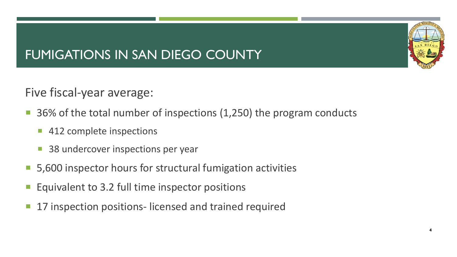## FUMIGATIONS IN SAN DIEGO COUNTY



- 36% of the total number of inspections (1,250) the program conducts
	- 412 complete inspections
	- 38 undercover inspections per year
- 5,600 inspector hours for structural fumigation activities
- Equivalent to 3.2 full time inspector positions
- 17 inspection positions- licensed and trained required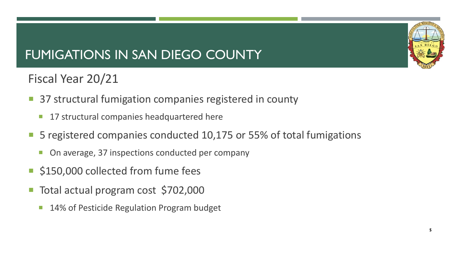## FUMIGATIONS IN SAN DIEGO COUNTY

## Fiscal Year 20/21

- 37 structural fumigation companies registered in county
	- **17 structural companies headquartered here**
- 5 registered companies conducted 10,175 or 55% of total fumigations
	- On average, 37 inspections conducted per company
- **S150,000 collected from fume fees**
- Total actual program cost \$702,000
	- **14% of Pesticide Regulation Program budget**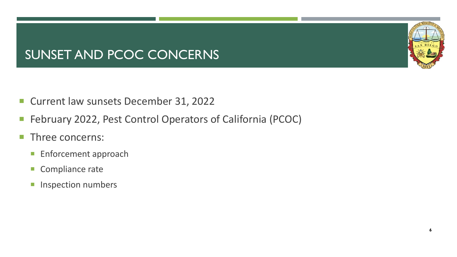## SUNSET AND PCOC CONCERNS

- **Current law sunsets December 31, 2022**
- February 2022, Pest Control Operators of California (PCOC)
- **Three concerns:** 
	- **Enforcement approach**
	- Compliance rate
	- Inspection numbers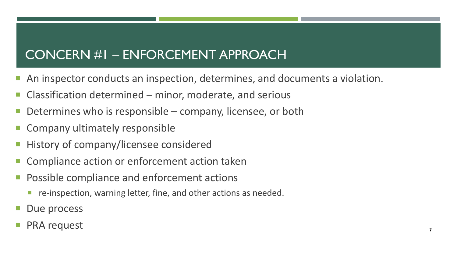### CONCERN #1 – ENFORCEMENT APPROACH

- An inspector conducts an inspection, determines, and documents a violation.
- Classification determined minor, moderate, and serious
- Determines who is responsible company, licensee, or both
- **E** Company ultimately responsible
- History of company/licensee considered
- Compliance action or enforcement action taken
- **Possible compliance and enforcement actions** 
	- **F** re-inspection, warning letter, fine, and other actions as needed.
- Due process
- PRA request 7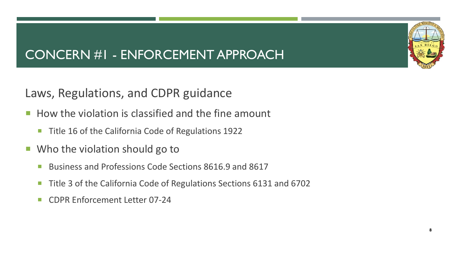## CONCERN #1 - ENFORCEMENT APPROACH

#### Laws, Regulations, and CDPR guidance

- $\blacksquare$  How the violation is classified and the fine amount
	- **Title 16 of the California Code of Regulations 1922**
- Who the violation should go to
	- Business and Professions Code Sections 8616.9 and 8617
	- Title 3 of the California Code of Regulations Sections 6131 and 6702
	- CDPR Enforcement Letter 07-24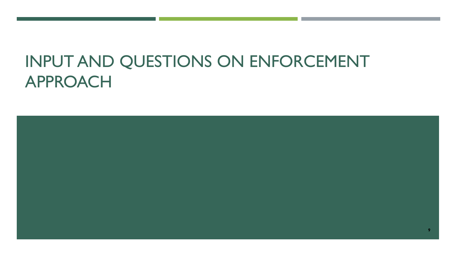# INPUT AND QUESTIONS ON ENFORCEMENT APPROACH

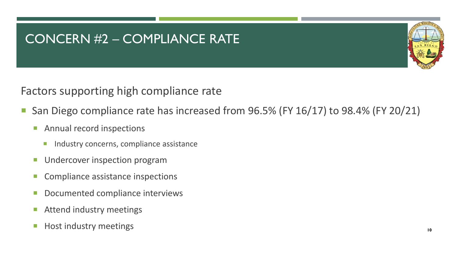#### CONCERN #2 – COMPLIANCE RATE



#### Factors supporting high compliance rate

- San Diego compliance rate has increased from 96.5% (FY 16/17) to 98.4% (FY 20/21)
	- **Annual record inspections** 
		- **Industry concerns, compliance assistance**
	- **Undercover inspection program**
	- Compliance assistance inspections
	- **Documented compliance interviews**
	- **E** Attend industry meetings
	- **Host industry meetings** and the set of the set of the set of the set of the set of the set of the set of the set of the set of the set of the set of the set of the set of the set of the set of the set of the set of the se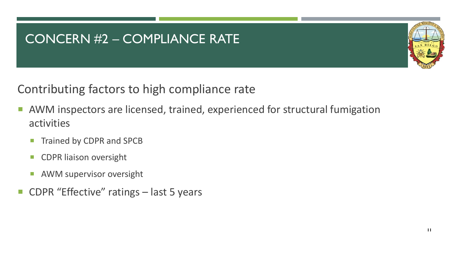### CONCERN #2 – COMPLIANCE RATE



#### Contributing factors to high compliance rate

- AWM inspectors are licensed, trained, experienced for structural fumigation activities
	- **Trained by CDPR and SPCB**
	- CDPR liaison oversight
	- **AWM supervisor oversight**
- CDPR "Effective" ratings last 5 years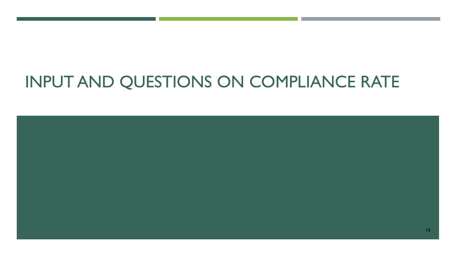# INPUT AND QUESTIONS ON COMPLIANCE RATE

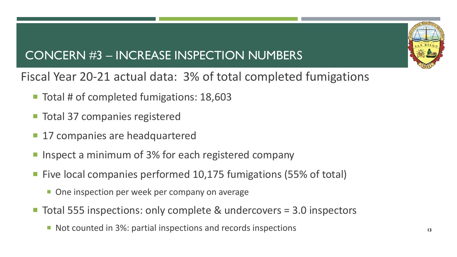## CONCERN #3 – INCREASE INSPECTION NUMBERS

Fiscal Year 20-21 actual data: 3% of total completed fumigations

- Total # of completed fumigations: 18,603
- **Total 37 companies registered**
- 17 companies are headquartered
- **If any interpole in the Inspect a minimum of 3% for each registered company**
- Five local companies performed 10,175 fumigations (55% of total)
	- **One inspection per week per company on average**
- Total 555 inspections: only complete & undercovers = 3.0 inspectors
	- Not counted in 3%: partial inspections and records inspections **13**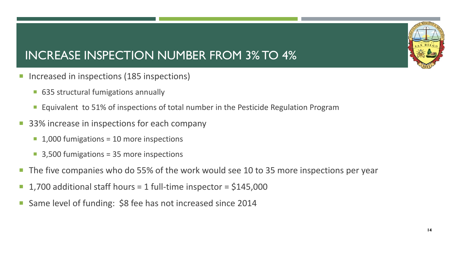## INCREASE INSPECTION NUMBER FROM 3% TO 4%

- Increased in inspections (185 inspections)
	- 635 structural fumigations annually
	- **Equivalent to 51% of inspections of total number in the Pesticide Regulation Program**
- 33% increase in inspections for each company
	- $\blacksquare$  1,000 fumigations = 10 more inspections
	- 3,500 fumigations = 35 more inspections
- The five companies who do 55% of the work would see 10 to 35 more inspections per year
- 1,700 additional staff hours = 1 full-time inspector = \$145,000
- Same level of funding: \$8 fee has not increased since 2014